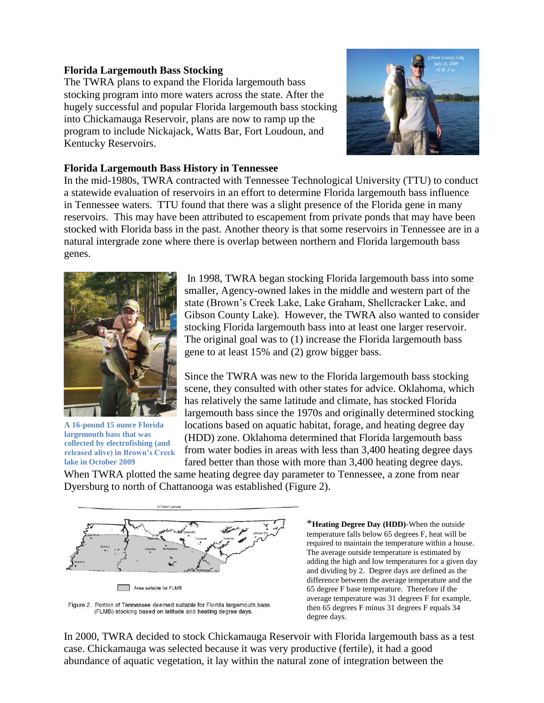## **Florida Largemouth Bass Stocking**

The TWRA plans to expand the Florida largemouth bass stocking program into more waters across the state. After the hugely successful and popular Florida largemouth bass stocking into Chickamauga Reservoir, plans are now to ramp up the program to include Nickajack, Watts Bar, Fort Loudoun, and Kentucky Reservoirs.



## **Florida Largemouth Bass History in Tennessee**

In the mid-1980s, TWRA contracted with Tennessee Technological University (TTU) to conduct a statewide evaluation of reservoirs in an effort to determine Florida largemouth bass influence in Tennessee waters. TTU found that there was a slight presence of the Florida gene in many reservoirs. This may have been attributed to escapement from private ponds that may have been stocked with Florida bass in the past. Another theory is that some reservoirs in Tennessee are in a natural intergrade zone where there is overlap between northern and Florida largemouth bass genes.



**A 16-pound 15 ounce Florida largemouth bass that was collected by electrofishing (and released alive) in Brown's Creek lake in October 2009**

In 1998, TWRA began stocking Florida largemouth bass into some smaller, Agency-owned lakes in the middle and western part of the state (Brown's Creek Lake, Lake Graham, Shellcracker Lake, and Gibson County Lake). However, the TWRA also wanted to consider stocking Florida largemouth bass into at least one larger reservoir. The original goal was to (1) increase the Florida largemouth bass gene to at least 15% and (2) grow bigger bass.

Since the TWRA was new to the Florida largemouth bass stocking scene, they consulted with other states for advice. Oklahoma, which has relatively the same latitude and climate, has stocked Florida largemouth bass since the 1970s and originally determined stocking locations based on aquatic habitat, forage, and heating degree day (HDD) zone. Oklahoma determined that Florida largemouth bass from water bodies in areas with less than 3,400 heating degree days fared better than those with more than 3,400 heating degree days.

When TWRA plotted the same heating degree day parameter to Tennessee, a zone from near Dyersburg to north of Chattanooga was established (Figure 2).



Figure 2. Portion of Tennessee deemed suitable for Florida largemouth bass (FLMB) stocking based on latitude and heating degree days.

\***Heating Degree Day (HDD)**-When the outside temperature falls below 65 degrees F, heat will be required to maintain the temperature within a house. The average outside temperature is estimated by adding the high and low temperatures for a given day and dividing by 2. Degree days are defined as the difference between the average temperature and the 65 degree F base temperature. Therefore if the average temperature was 31 degrees F for example, then 65 degrees F minus 31 degrees F equals 34 degree days.

In 2000, TWRA decided to stock Chickamauga Reservoir with Florida largemouth bass as a test case. Chickamauga was selected because it was very productive (fertile), it had a good abundance of aquatic vegetation, it lay within the natural zone of integration between the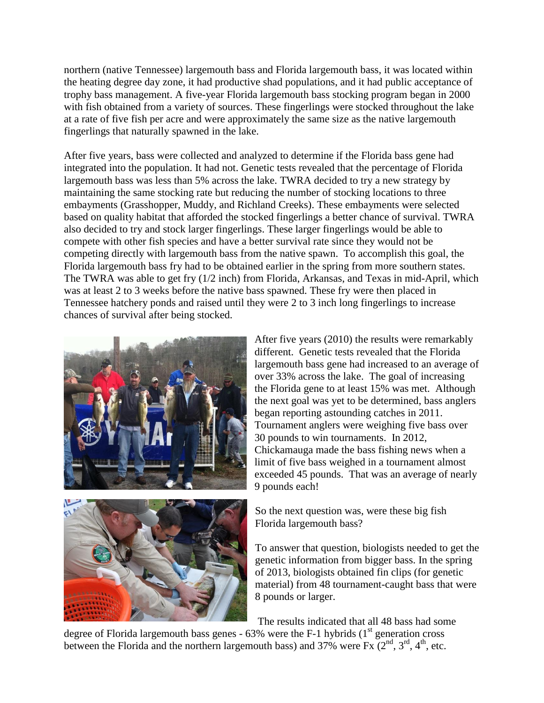northern (native Tennessee) largemouth bass and Florida largemouth bass, it was located within the heating degree day zone, it had productive shad populations, and it had public acceptance of trophy bass management. A five-year Florida largemouth bass stocking program began in 2000 with fish obtained from a variety of sources. These fingerlings were stocked throughout the lake at a rate of five fish per acre and were approximately the same size as the native largemouth fingerlings that naturally spawned in the lake.

After five years, bass were collected and analyzed to determine if the Florida bass gene had integrated into the population. It had not. Genetic tests revealed that the percentage of Florida largemouth bass was less than 5% across the lake. TWRA decided to try a new strategy by maintaining the same stocking rate but reducing the number of stocking locations to three embayments (Grasshopper, Muddy, and Richland Creeks). These embayments were selected based on quality habitat that afforded the stocked fingerlings a better chance of survival. TWRA also decided to try and stock larger fingerlings. These larger fingerlings would be able to compete with other fish species and have a better survival rate since they would not be competing directly with largemouth bass from the native spawn. To accomplish this goal, the Florida largemouth bass fry had to be obtained earlier in the spring from more southern states. The TWRA was able to get fry (1/2 inch) from Florida, Arkansas, and Texas in mid-April, which was at least 2 to 3 weeks before the native bass spawned. These fry were then placed in Tennessee hatchery ponds and raised until they were 2 to 3 inch long fingerlings to increase chances of survival after being stocked.





After five years (2010) the results were remarkably different. Genetic tests revealed that the Florida largemouth bass gene had increased to an average of over 33% across the lake. The goal of increasing the Florida gene to at least 15% was met. Although the next goal was yet to be determined, bass anglers began reporting astounding catches in 2011. Tournament anglers were weighing five bass over 30 pounds to win tournaments. In 2012, Chickamauga made the bass fishing news when a limit of five bass weighed in a tournament almost exceeded 45 pounds. That was an average of nearly 9 pounds each!

So the next question was, were these big fish Florida largemouth bass?

To answer that question, biologists needed to get the genetic information from bigger bass. In the spring of 2013, biologists obtained fin clips (for genetic material) from 48 tournament-caught bass that were 8 pounds or larger.

The results indicated that all 48 bass had some

degree of Florida largemouth bass genes -  $63\%$  were the F-1 hybrids ( $1<sup>st</sup>$  generation cross between the Florida and the northern largemouth bass) and  $37\%$  were Fx  $(2^{nd}, 3^{rd}, 4^{th})$ , etc.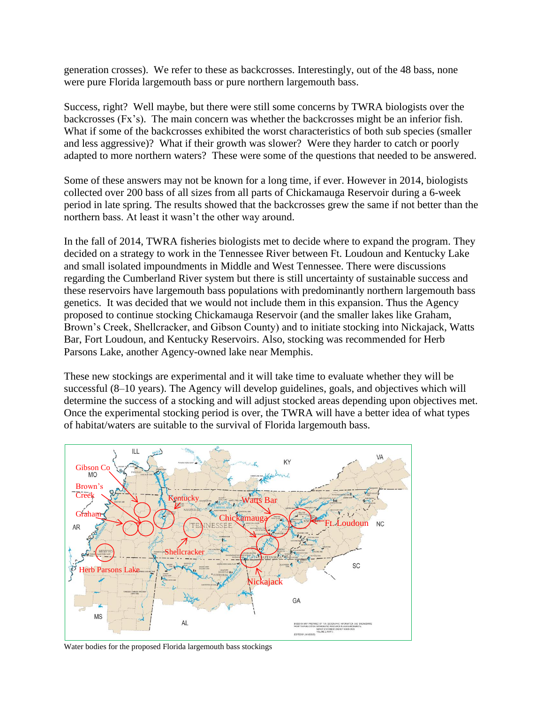generation crosses). We refer to these as backcrosses. Interestingly, out of the 48 bass, none were pure Florida largemouth bass or pure northern largemouth bass.

Success, right? Well maybe, but there were still some concerns by TWRA biologists over the backcrosses (Fx's). The main concern was whether the backcrosses might be an inferior fish. What if some of the backcrosses exhibited the worst characteristics of both sub species (smaller and less aggressive)? What if their growth was slower? Were they harder to catch or poorly adapted to more northern waters? These were some of the questions that needed to be answered.

Some of these answers may not be known for a long time, if ever. However in 2014, biologists collected over 200 bass of all sizes from all parts of Chickamauga Reservoir during a 6-week period in late spring. The results showed that the backcrosses grew the same if not better than the northern bass. At least it wasn't the other way around.

In the fall of 2014, TWRA fisheries biologists met to decide where to expand the program. They decided on a strategy to work in the Tennessee River between Ft. Loudoun and Kentucky Lake and small isolated impoundments in Middle and West Tennessee. There were discussions regarding the Cumberland River system but there is still uncertainty of sustainable success and these reservoirs have largemouth bass populations with predominantly northern largemouth bass genetics. It was decided that we would not include them in this expansion. Thus the Agency proposed to continue stocking Chickamauga Reservoir (and the smaller lakes like Graham, Brown's Creek, Shellcracker, and Gibson County) and to initiate stocking into Nickajack, Watts Bar, Fort Loudoun, and Kentucky Reservoirs. Also, stocking was recommended for Herb Parsons Lake, another Agency-owned lake near Memphis.

These new stockings are experimental and it will take time to evaluate whether they will be successful (8–10 years). The Agency will develop guidelines, goals, and objectives which will determine the success of a stocking and will adjust stocked areas depending upon objectives met. Once the experimental stocking period is over, the TWRA will have a better idea of what types of habitat/waters are suitable to the survival of Florida largemouth bass.



Water bodies for the proposed Florida largemouth bass stockings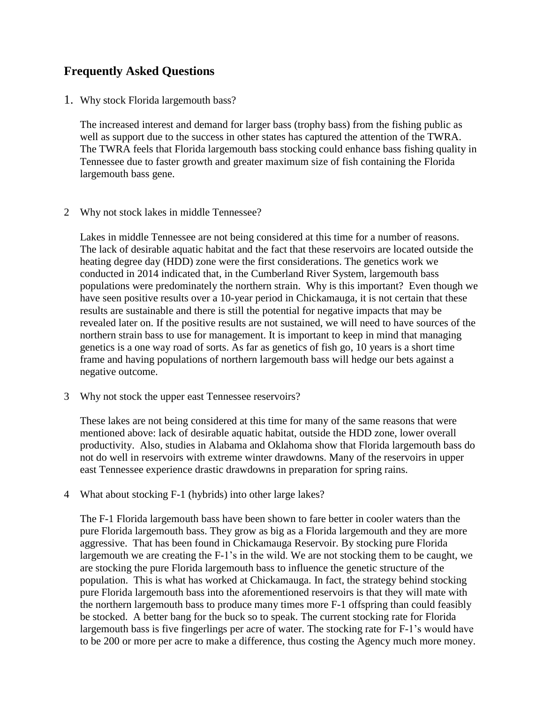## **Frequently Asked Questions**

1. Why stock Florida largemouth bass?

The increased interest and demand for larger bass (trophy bass) from the fishing public as well as support due to the success in other states has captured the attention of the TWRA. The TWRA feels that Florida largemouth bass stocking could enhance bass fishing quality in Tennessee due to faster growth and greater maximum size of fish containing the Florida largemouth bass gene.

2 Why not stock lakes in middle Tennessee?

Lakes in middle Tennessee are not being considered at this time for a number of reasons. The lack of desirable aquatic habitat and the fact that these reservoirs are located outside the heating degree day (HDD) zone were the first considerations. The genetics work we conducted in 2014 indicated that, in the Cumberland River System, largemouth bass populations were predominately the northern strain. Why is this important? Even though we have seen positive results over a 10-year period in Chickamauga, it is not certain that these results are sustainable and there is still the potential for negative impacts that may be revealed later on. If the positive results are not sustained, we will need to have sources of the northern strain bass to use for management. It is important to keep in mind that managing genetics is a one way road of sorts. As far as genetics of fish go, 10 years is a short time frame and having populations of northern largemouth bass will hedge our bets against a negative outcome.

3 Why not stock the upper east Tennessee reservoirs?

These lakes are not being considered at this time for many of the same reasons that were mentioned above: lack of desirable aquatic habitat, outside the HDD zone, lower overall productivity. Also, studies in Alabama and Oklahoma show that Florida largemouth bass do not do well in reservoirs with extreme winter drawdowns. Many of the reservoirs in upper east Tennessee experience drastic drawdowns in preparation for spring rains.

4 What about stocking F-1 (hybrids) into other large lakes?

The F-1 Florida largemouth bass have been shown to fare better in cooler waters than the pure Florida largemouth bass. They grow as big as a Florida largemouth and they are more aggressive. That has been found in Chickamauga Reservoir. By stocking pure Florida largemouth we are creating the F-1's in the wild. We are not stocking them to be caught, we are stocking the pure Florida largemouth bass to influence the genetic structure of the population. This is what has worked at Chickamauga. In fact, the strategy behind stocking pure Florida largemouth bass into the aforementioned reservoirs is that they will mate with the northern largemouth bass to produce many times more F-1 offspring than could feasibly be stocked. A better bang for the buck so to speak. The current stocking rate for Florida largemouth bass is five fingerlings per acre of water. The stocking rate for F-1's would have to be 200 or more per acre to make a difference, thus costing the Agency much more money.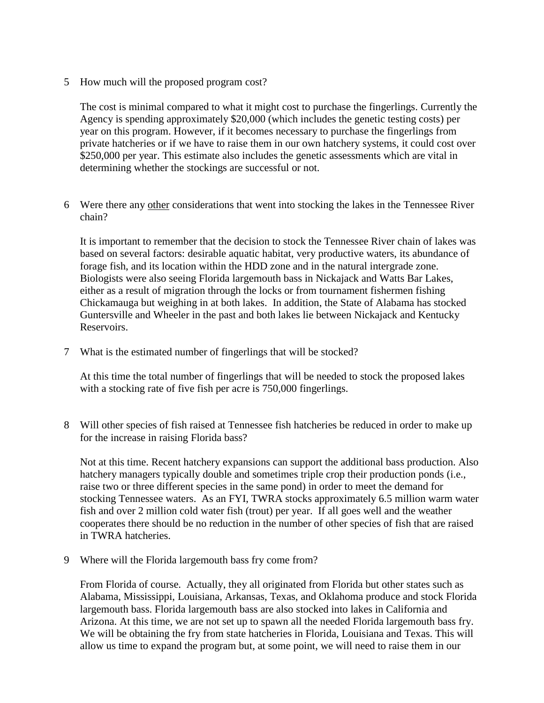5 How much will the proposed program cost?

The cost is minimal compared to what it might cost to purchase the fingerlings. Currently the Agency is spending approximately \$20,000 (which includes the genetic testing costs) per year on this program. However, if it becomes necessary to purchase the fingerlings from private hatcheries or if we have to raise them in our own hatchery systems, it could cost over \$250,000 per year. This estimate also includes the genetic assessments which are vital in determining whether the stockings are successful or not.

6 Were there any other considerations that went into stocking the lakes in the Tennessee River chain?

It is important to remember that the decision to stock the Tennessee River chain of lakes was based on several factors: desirable aquatic habitat, very productive waters, its abundance of forage fish, and its location within the HDD zone and in the natural intergrade zone. Biologists were also seeing Florida largemouth bass in Nickajack and Watts Bar Lakes, either as a result of migration through the locks or from tournament fishermen fishing Chickamauga but weighing in at both lakes. In addition, the State of Alabama has stocked Guntersville and Wheeler in the past and both lakes lie between Nickajack and Kentucky Reservoirs.

7 What is the estimated number of fingerlings that will be stocked?

At this time the total number of fingerlings that will be needed to stock the proposed lakes with a stocking rate of five fish per acre is 750,000 fingerlings.

8 Will other species of fish raised at Tennessee fish hatcheries be reduced in order to make up for the increase in raising Florida bass?

Not at this time. Recent hatchery expansions can support the additional bass production. Also hatchery managers typically double and sometimes triple crop their production ponds (i.e., raise two or three different species in the same pond) in order to meet the demand for stocking Tennessee waters. As an FYI, TWRA stocks approximately 6.5 million warm water fish and over 2 million cold water fish (trout) per year. If all goes well and the weather cooperates there should be no reduction in the number of other species of fish that are raised in TWRA hatcheries.

9 Where will the Florida largemouth bass fry come from?

From Florida of course. Actually, they all originated from Florida but other states such as Alabama, Mississippi, Louisiana, Arkansas, Texas, and Oklahoma produce and stock Florida largemouth bass. Florida largemouth bass are also stocked into lakes in California and Arizona. At this time, we are not set up to spawn all the needed Florida largemouth bass fry. We will be obtaining the fry from state hatcheries in Florida, Louisiana and Texas. This will allow us time to expand the program but, at some point, we will need to raise them in our